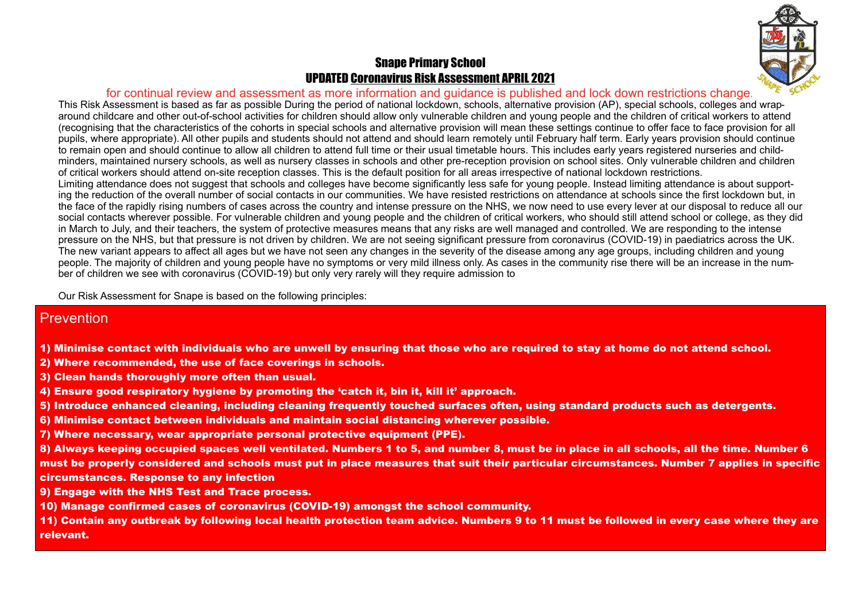## Snape Primary School UPDATED Coronavirus Risk Assessment APRIL 2021

## for continual review and assessment as more information and guidance is published and lock down restrictions change.

This Risk Assessment is based as far as possible During the period of national lockdown, schools, alternative provision (AP), special schools, colleges and wraparound childcare and other out-of-school activities for children should allow only vulnerable children and young people and the children of critical workers to attend (recognising that the characteristics of the cohorts in special schools and alternative provision will mean these settings continue to offer face to face provision for all pupils, where appropriate). All other pupils and students should not attend and should learn remotely until February half term. Early years provision should continue to remain open and should continue to allow all children to attend full time or their usual timetable hours. This includes early years registered nurseries and childminders, maintained nursery schools, as well as nursery classes in schools and other pre-reception provision on school sites. Only vulnerable children and children of critical workers should attend on-site reception classes. This is the default position for all areas irrespective of national lockdown restrictions. Limiting attendance does not suggest that schools and colleges have become significantly less safe for young people. Instead limiting attendance is about supporting the reduction of the overall number of social contacts in our communities. We have resisted restrictions on attendance at schools since the first lockdown but, in the face of the rapidly rising numbers of cases across the country and intense pressure on the NHS, we now need to use every lever at our disposal to reduce all our social contacts wherever possible. For vulnerable children and young people and the children of critical workers, who should still attend school or college, as they did in March to July, and their teachers, the system of protective measures means that any risks are well managed and controlled. We are responding to the intense pressure on the NHS, but that pressure is not driven by children. We are not seeing significant pressure from coronavirus (COVID-19) in paediatrics across the UK. The new variant appears to affect all ages but we have not seen any changes in the severity of the disease among any age groups, including children and young people. The majority of children and young people have no symptoms or very mild illness only. As cases in the community rise there will be an increase in the number of children we see with coronavirus (COVID-19) but only very rarely will they require admission to

Our Risk Assessment for Snape is based on the following principles:

## **Prevention**

- 1) Minimise contact with individuals who are unwell by ensuring that those who are required to stay at home do not attend school.
- 2) Where recommended, the use of face coverings in schools.
- 3) Clean hands thoroughly more often than usual.
- 4) Ensure good respiratory hygiene by promoting the 'catch it, bin it, kill it' approach.
- 5) Introduce enhanced cleaning, including cleaning frequently touched surfaces often, using standard products such as detergents.
- 6) Minimise contact between individuals and maintain social distancing wherever possible.
- 7) Where necessary, wear appropriate personal protective equipment (PPE).

8) Always keeping occupied spaces well ventilated. Numbers 1 to 5, and number 8, must be in place in all schools, all the time. Number 6 must be properly considered and schools must put in place measures that suit their particular circumstances. Number 7 applies in specific circumstances. Response to any infection

- 9) Engage with the NHS Test and Trace process.
- 10) Manage confirmed cases of coronavirus (COVID-19) amongst the school community.

11) Contain any outbreak by following local health protection team advice. Numbers 9 to 11 must be followed in every case where they are relevant.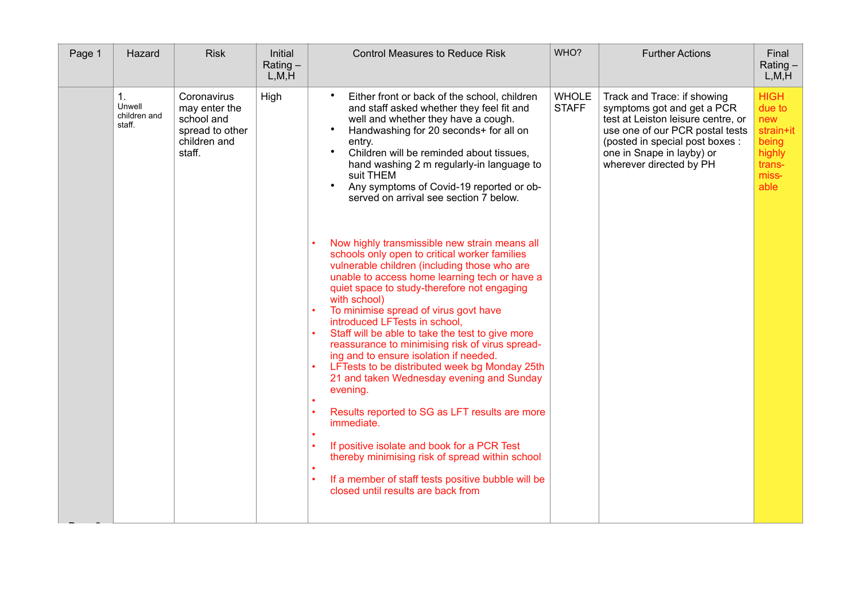| Page 1 | Hazard                                 | <b>Risk</b>                                                                             | Initial<br>$Rating -$<br>L, M, H | <b>Control Measures to Reduce Risk</b>                                                                                                                                                                                                                                                                                                                                                                                                                                                                                                                                                                                                                                                                                                                                                                                                                                                                   | WHO?                         | <b>Further Actions</b>                                                                                                                                                                                                        | Final<br>$Rating -$<br>L, M, H                                                          |
|--------|----------------------------------------|-----------------------------------------------------------------------------------------|----------------------------------|----------------------------------------------------------------------------------------------------------------------------------------------------------------------------------------------------------------------------------------------------------------------------------------------------------------------------------------------------------------------------------------------------------------------------------------------------------------------------------------------------------------------------------------------------------------------------------------------------------------------------------------------------------------------------------------------------------------------------------------------------------------------------------------------------------------------------------------------------------------------------------------------------------|------------------------------|-------------------------------------------------------------------------------------------------------------------------------------------------------------------------------------------------------------------------------|-----------------------------------------------------------------------------------------|
|        | 1.<br>Unwell<br>children and<br>staff. | Coronavirus<br>may enter the<br>school and<br>spread to other<br>children and<br>staff. | High                             | Either front or back of the school, children<br>and staff asked whether they feel fit and<br>well and whether they have a cough.<br>Handwashing for 20 seconds+ for all on<br>$\bullet$<br>entry.<br>Children will be reminded about tissues,<br>$\bullet$<br>hand washing 2 m regularly-in language to<br>suit THEM<br>Any symptoms of Covid-19 reported or ob-<br>$\bullet$<br>served on arrival see section 7 below.                                                                                                                                                                                                                                                                                                                                                                                                                                                                                  | <b>WHOLE</b><br><b>STAFF</b> | Track and Trace: if showing<br>symptoms got and get a PCR<br>test at Leiston leisure centre, or<br>use one of our PCR postal tests<br>(posted in special post boxes :<br>one in Snape in layby) or<br>wherever directed by PH | <b>HIGH</b><br>due to<br>new<br>strain+it<br>being<br>highly<br>trans-<br>miss-<br>able |
|        |                                        |                                                                                         |                                  | Now highly transmissible new strain means all<br>schools only open to critical worker families<br>vulnerable children (including those who are<br>unable to access home learning tech or have a<br>quiet space to study-therefore not engaging<br>with school)<br>To minimise spread of virus govt have<br>introduced LFTests in school,<br>Staff will be able to take the test to give more<br>$\bullet$<br>reassurance to minimising risk of virus spread-<br>ing and to ensure isolation if needed.<br>LFTests to be distributed week bg Monday 25th<br>21 and taken Wednesday evening and Sunday<br>evening.<br>Results reported to SG as LFT results are more<br>$\bullet$<br>immediate.<br>If positive isolate and book for a PCR Test<br>$\bullet$<br>thereby minimising risk of spread within school<br>If a member of staff tests positive bubble will be<br>closed until results are back from |                              |                                                                                                                                                                                                                               |                                                                                         |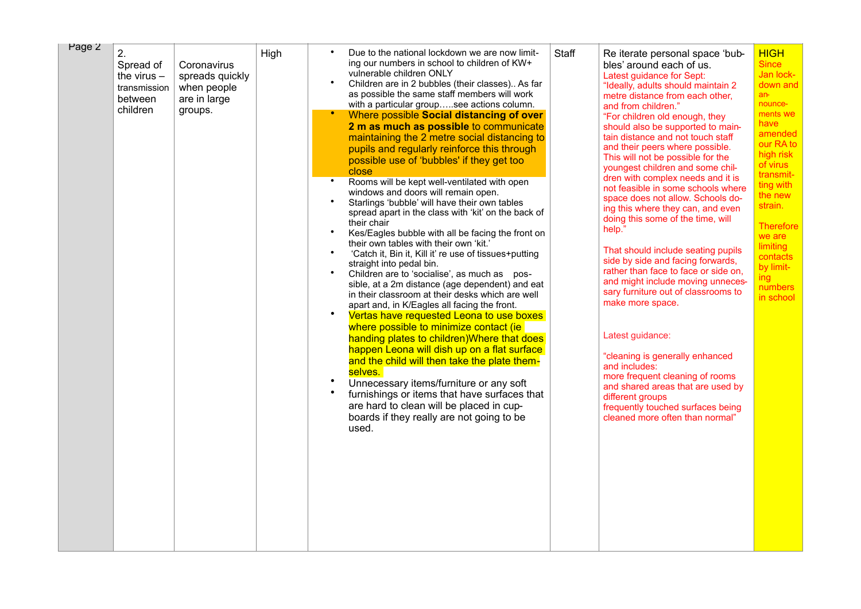|  | $\overline{2}$ .<br>Spread of<br>the virus $-$<br>transmission<br>between<br>children | Coronavirus<br>spreads quickly<br>when people<br>are in large<br>groups. | High | ing our numbers in school to children of KW+<br>vulnerable children ONLY<br>$\bullet$<br>Children are in 2 bubbles (their classes) As far<br>as possible the same staff members will work<br>with a particular groupsee actions column.<br>Where possible Social distancing of over<br>2 m as much as possible to communicate<br>maintaining the 2 metre social distancing to<br>pupils and regularly reinforce this through<br>possible use of 'bubbles' if they get too<br>close<br>Rooms will be kept well-ventilated with open<br>windows and doors will remain open.<br>Starlings 'bubble' will have their own tables<br>spread apart in the class with 'kit' on the back of<br>their chair<br>$\bullet$<br>Kes/Eagles bubble with all be facing the front on<br>their own tables with their own 'kit.'<br>'Catch it, Bin it, Kill it' re use of tissues+putting<br>$\bullet$<br>straight into pedal bin.<br>Children are to 'socialise', as much as pos-<br>sible, at a 2m distance (age dependent) and eat<br>in their classroom at their desks which are well<br>apart and, in K/Eagles all facing the front.<br>$\bullet$<br>Vertas have requested Leona to use boxes<br>where possible to minimize contact (ie<br>handing plates to children) Where that does<br>happen Leona will dish up on a flat surface<br>and the child will then take the plate them-<br>selves.<br>$\bullet$<br>Unnecessary items/furniture or any soft<br>furnishings or items that have surfaces that<br>are hard to clean will be placed in cup-<br>boards if they really are not going to be<br>used. | Staff | Re iterate personal space 'bub-<br>bles' around each of us.<br>Latest guidance for Sept:<br>"Ideally, adults should maintain 2<br>metre distance from each other,<br>and from children."<br>"For children old enough, they<br>should also be supported to main-<br>tain distance and not touch staff<br>and their peers where possible.<br>This will not be possible for the<br>youngest children and some chil-<br>dren with complex needs and it is<br>not feasible in some schools where<br>space does not allow. Schools do-<br>ing this where they can, and even<br>doing this some of the time, will<br>help."<br>That should include seating pupils<br>side by side and facing forwards,<br>rather than face to face or side on,<br>and might include moving unneces-<br>sary furniture out of classrooms to<br>make more space.<br>Latest guidance:<br>"cleaning is generally enhanced<br>and includes:<br>more frequent cleaning of rooms<br>and shared areas that are used by<br>different groups<br>frequently touched surfaces being<br>cleaned more often than normal" | <b>HIGH</b><br><b>Since</b><br>Jan lock-<br>down and<br>$an -$<br>nounce-<br>ments we<br>have<br>amended<br>our RA to<br>high risk<br>of virus<br>transmit-<br>ting with<br>the new<br>strain.<br><b>Therefore</b><br>we are<br>limiting<br>contacts<br>by limit-<br>ing<br>numbers<br>in school |
|--|---------------------------------------------------------------------------------------|--------------------------------------------------------------------------|------|---------------------------------------------------------------------------------------------------------------------------------------------------------------------------------------------------------------------------------------------------------------------------------------------------------------------------------------------------------------------------------------------------------------------------------------------------------------------------------------------------------------------------------------------------------------------------------------------------------------------------------------------------------------------------------------------------------------------------------------------------------------------------------------------------------------------------------------------------------------------------------------------------------------------------------------------------------------------------------------------------------------------------------------------------------------------------------------------------------------------------------------------------------------------------------------------------------------------------------------------------------------------------------------------------------------------------------------------------------------------------------------------------------------------------------------------------------------------------------------------------------------------------------------------------------------------------------------------|-------|-------------------------------------------------------------------------------------------------------------------------------------------------------------------------------------------------------------------------------------------------------------------------------------------------------------------------------------------------------------------------------------------------------------------------------------------------------------------------------------------------------------------------------------------------------------------------------------------------------------------------------------------------------------------------------------------------------------------------------------------------------------------------------------------------------------------------------------------------------------------------------------------------------------------------------------------------------------------------------------------------------------------------------------------------------------------------------------|--------------------------------------------------------------------------------------------------------------------------------------------------------------------------------------------------------------------------------------------------------------------------------------------------|
|--|---------------------------------------------------------------------------------------|--------------------------------------------------------------------------|------|---------------------------------------------------------------------------------------------------------------------------------------------------------------------------------------------------------------------------------------------------------------------------------------------------------------------------------------------------------------------------------------------------------------------------------------------------------------------------------------------------------------------------------------------------------------------------------------------------------------------------------------------------------------------------------------------------------------------------------------------------------------------------------------------------------------------------------------------------------------------------------------------------------------------------------------------------------------------------------------------------------------------------------------------------------------------------------------------------------------------------------------------------------------------------------------------------------------------------------------------------------------------------------------------------------------------------------------------------------------------------------------------------------------------------------------------------------------------------------------------------------------------------------------------------------------------------------------------|-------|-------------------------------------------------------------------------------------------------------------------------------------------------------------------------------------------------------------------------------------------------------------------------------------------------------------------------------------------------------------------------------------------------------------------------------------------------------------------------------------------------------------------------------------------------------------------------------------------------------------------------------------------------------------------------------------------------------------------------------------------------------------------------------------------------------------------------------------------------------------------------------------------------------------------------------------------------------------------------------------------------------------------------------------------------------------------------------------|--------------------------------------------------------------------------------------------------------------------------------------------------------------------------------------------------------------------------------------------------------------------------------------------------|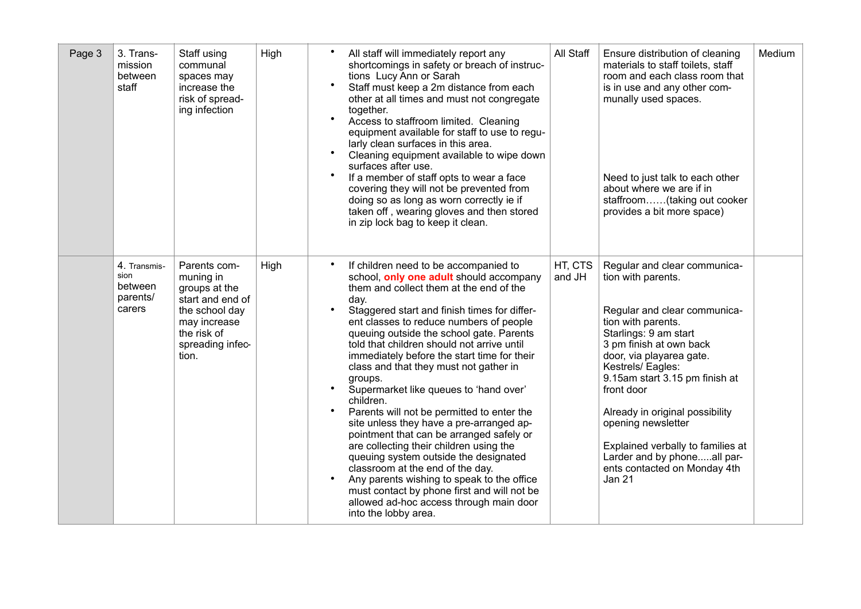| Page 3 | 3. Trans-<br>mission<br>between<br>staff              | Staff using<br>communal<br>spaces may<br>increase the<br>risk of spread-<br>ing infection                                                    | High | $\bullet$<br>All staff will immediately report any<br>shortcomings in safety or breach of instruc-<br>tions Lucy Ann or Sarah<br>$\bullet$<br>Staff must keep a 2m distance from each<br>other at all times and must not congregate<br>together.<br>$\bullet$<br>Access to staffroom limited. Cleaning<br>equipment available for staff to use to regu-<br>larly clean surfaces in this area.<br>Cleaning equipment available to wipe down<br>surfaces after use.<br>$\bullet$<br>If a member of staff opts to wear a face<br>covering they will not be prevented from<br>doing so as long as worn correctly ie if<br>taken off, wearing gloves and then stored<br>in zip lock bag to keep it clean.                                                                                                                                                                                                                                                     | All Staff         | Ensure distribution of cleaning<br>materials to staff toilets, staff<br>room and each class room that<br>is in use and any other com-<br>munally used spaces.<br>Need to just talk to each other<br>about where we are if in<br>staffroom(taking out cooker<br>provides a bit more space)                                                                                                                                                  | Medium |
|--------|-------------------------------------------------------|----------------------------------------------------------------------------------------------------------------------------------------------|------|----------------------------------------------------------------------------------------------------------------------------------------------------------------------------------------------------------------------------------------------------------------------------------------------------------------------------------------------------------------------------------------------------------------------------------------------------------------------------------------------------------------------------------------------------------------------------------------------------------------------------------------------------------------------------------------------------------------------------------------------------------------------------------------------------------------------------------------------------------------------------------------------------------------------------------------------------------|-------------------|--------------------------------------------------------------------------------------------------------------------------------------------------------------------------------------------------------------------------------------------------------------------------------------------------------------------------------------------------------------------------------------------------------------------------------------------|--------|
|        | 4. Transmis-<br>sion<br>between<br>parents/<br>carers | Parents com-<br>muning in<br>groups at the<br>start and end of<br>the school day<br>may increase<br>the risk of<br>spreading infec-<br>tion. | High | If children need to be accompanied to<br>$\bullet$<br>school, only one adult should accompany<br>them and collect them at the end of the<br>day.<br>$\bullet$<br>Staggered start and finish times for differ-<br>ent classes to reduce numbers of people<br>queuing outside the school gate. Parents<br>told that children should not arrive until<br>immediately before the start time for their<br>class and that they must not gather in<br>groups.<br>Supermarket like queues to 'hand over'<br>children.<br>$\bullet$<br>Parents will not be permitted to enter the<br>site unless they have a pre-arranged ap-<br>pointment that can be arranged safely or<br>are collecting their children using the<br>queuing system outside the designated<br>classroom at the end of the day.<br>Any parents wishing to speak to the office<br>must contact by phone first and will not be<br>allowed ad-hoc access through main door<br>into the lobby area. | HT, CTS<br>and JH | Regular and clear communica-<br>tion with parents.<br>Regular and clear communica-<br>tion with parents.<br>Starlings: 9 am start<br>3 pm finish at own back<br>door, via playarea gate.<br>Kestrels/Eagles:<br>9.15am start 3.15 pm finish at<br>front door<br>Already in original possibility<br>opening newsletter<br>Explained verbally to families at<br>Larder and by phoneall par-<br>ents contacted on Monday 4th<br><b>Jan 21</b> |        |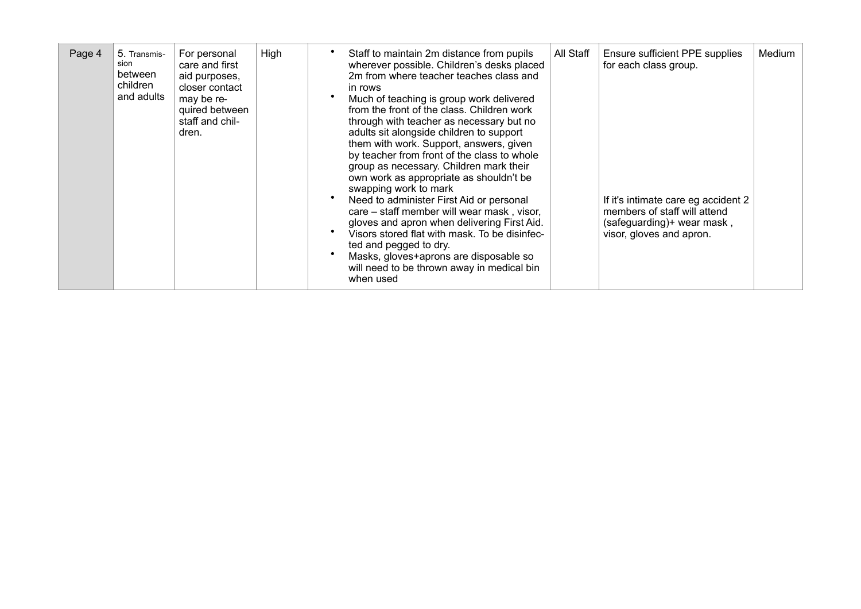| Page 4 | 5. Transmis-<br>sion<br>between<br>children<br>and adults | For personal<br>care and first<br>aid purposes,<br>closer contact<br>may be re-<br>quired between<br>staff and chil-<br>dren. | High | Staff to maintain 2m distance from pupils<br>wherever possible. Children's desks placed<br>2m from where teacher teaches class and<br>in rows<br>Much of teaching is group work delivered<br>from the front of the class. Children work<br>through with teacher as necessary but no<br>adults sit alongside children to support<br>them with work. Support, answers, given<br>by teacher from front of the class to whole<br>group as necessary. Children mark their<br>own work as appropriate as shouldn't be<br>swapping work to mark<br>Need to administer First Aid or personal<br>care – staff member will wear mask, visor,<br>gloves and apron when delivering First Aid.<br>Visors stored flat with mask. To be disinfec-<br>ted and pegged to dry.<br>Masks, gloves+aprons are disposable so<br>will need to be thrown away in medical bin<br>when used | All Staff | Ensure sufficient PPE supplies<br>for each class group.<br>If it's intimate care eg accident 2<br>members of staff will attend<br>(safeguarding)+ wear mask,<br>visor, gloves and apron. | Medium |
|--------|-----------------------------------------------------------|-------------------------------------------------------------------------------------------------------------------------------|------|-------------------------------------------------------------------------------------------------------------------------------------------------------------------------------------------------------------------------------------------------------------------------------------------------------------------------------------------------------------------------------------------------------------------------------------------------------------------------------------------------------------------------------------------------------------------------------------------------------------------------------------------------------------------------------------------------------------------------------------------------------------------------------------------------------------------------------------------------------------------|-----------|------------------------------------------------------------------------------------------------------------------------------------------------------------------------------------------|--------|
|--------|-----------------------------------------------------------|-------------------------------------------------------------------------------------------------------------------------------|------|-------------------------------------------------------------------------------------------------------------------------------------------------------------------------------------------------------------------------------------------------------------------------------------------------------------------------------------------------------------------------------------------------------------------------------------------------------------------------------------------------------------------------------------------------------------------------------------------------------------------------------------------------------------------------------------------------------------------------------------------------------------------------------------------------------------------------------------------------------------------|-----------|------------------------------------------------------------------------------------------------------------------------------------------------------------------------------------------|--------|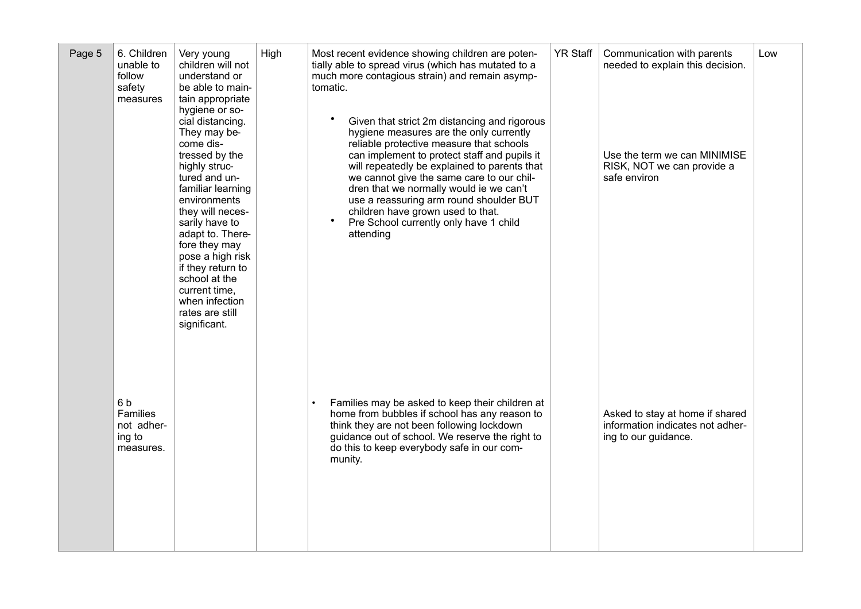| Page 5 | 6. Children<br>unable to<br>follow<br>safety<br>measures   | Very young<br>children will not<br>understand or<br>be able to main-<br>tain appropriate<br>hygiene or so-<br>cial distancing.<br>They may be-<br>come dis-<br>tressed by the<br>highly struc-<br>tured and un-<br>familiar learning<br>environments<br>they will neces-<br>sarily have to<br>adapt to. There-<br>fore they may<br>pose a high risk<br>if they return to<br>school at the<br>current time,<br>when infection<br>rates are still<br>significant. | High | Most recent evidence showing children are poten-<br>tially able to spread virus (which has mutated to a<br>much more contagious strain) and remain asymp-<br>tomatic.<br>Given that strict 2m distancing and rigorous<br>hygiene measures are the only currently<br>reliable protective measure that schools<br>can implement to protect staff and pupils it<br>will repeatedly be explained to parents that<br>we cannot give the same care to our chil-<br>dren that we normally would ie we can't<br>use a reassuring arm round shoulder BUT<br>children have grown used to that.<br>$\bullet$<br>Pre School currently only have 1 child<br>attending | <b>YR Staff</b> | Communication with parents<br>needed to explain this decision.<br>Use the term we can MINIMISE<br>RISK, NOT we can provide a<br>safe environ | Low |
|--------|------------------------------------------------------------|-----------------------------------------------------------------------------------------------------------------------------------------------------------------------------------------------------------------------------------------------------------------------------------------------------------------------------------------------------------------------------------------------------------------------------------------------------------------|------|----------------------------------------------------------------------------------------------------------------------------------------------------------------------------------------------------------------------------------------------------------------------------------------------------------------------------------------------------------------------------------------------------------------------------------------------------------------------------------------------------------------------------------------------------------------------------------------------------------------------------------------------------------|-----------------|----------------------------------------------------------------------------------------------------------------------------------------------|-----|
|        | 6b<br><b>Families</b><br>not adher-<br>ing to<br>measures. |                                                                                                                                                                                                                                                                                                                                                                                                                                                                 |      | Families may be asked to keep their children at<br>home from bubbles if school has any reason to<br>think they are not been following lockdown<br>guidance out of school. We reserve the right to<br>do this to keep everybody safe in our com-<br>munity.                                                                                                                                                                                                                                                                                                                                                                                               |                 | Asked to stay at home if shared<br>information indicates not adher-<br>ing to our guidance.                                                  |     |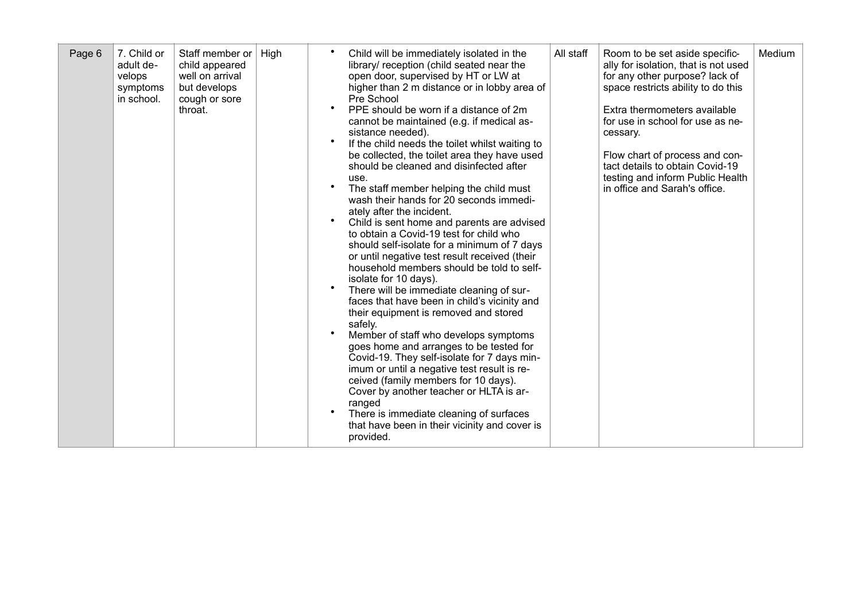| Page 6 | 7. Child or<br>adult de-<br>velops<br>symptoms<br>in school. | Staff member or<br>child appeared<br>well on arrival<br>but develops<br>cough or sore<br>throat. | High | Child will be immediately isolated in the<br>library/ reception (child seated near the<br>open door, supervised by HT or LW at<br>higher than 2 m distance or in lobby area of<br>Pre School<br>PPE should be worn if a distance of 2m<br>cannot be maintained (e.g. if medical as-<br>sistance needed).<br>If the child needs the toilet whilst waiting to<br>be collected, the toilet area they have used<br>should be cleaned and disinfected after<br>use.<br>$\bullet$<br>The staff member helping the child must<br>wash their hands for 20 seconds immedi-<br>ately after the incident.<br>$\bullet$<br>Child is sent home and parents are advised<br>to obtain a Covid-19 test for child who<br>should self-isolate for a minimum of 7 days<br>or until negative test result received (their<br>household members should be told to self-<br>isolate for 10 days).<br>$\bullet$<br>There will be immediate cleaning of sur-<br>faces that have been in child's vicinity and<br>their equipment is removed and stored<br>safely.<br>Member of staff who develops symptoms<br>goes home and arranges to be tested for<br>Covid-19. They self-isolate for 7 days min-<br>imum or until a negative test result is re-<br>ceived (family members for 10 days).<br>Cover by another teacher or HLTA is ar-<br>ranged<br>There is immediate cleaning of surfaces<br>that have been in their vicinity and cover is<br>provided. | All staff | Room to be set aside specific-<br>ally for isolation, that is not used<br>for any other purpose? lack of<br>space restricts ability to do this<br>Extra thermometers available<br>for use in school for use as ne-<br>cessary.<br>Flow chart of process and con-<br>tact details to obtain Covid-19<br>testing and inform Public Health<br>in office and Sarah's office. | Medium |
|--------|--------------------------------------------------------------|--------------------------------------------------------------------------------------------------|------|---------------------------------------------------------------------------------------------------------------------------------------------------------------------------------------------------------------------------------------------------------------------------------------------------------------------------------------------------------------------------------------------------------------------------------------------------------------------------------------------------------------------------------------------------------------------------------------------------------------------------------------------------------------------------------------------------------------------------------------------------------------------------------------------------------------------------------------------------------------------------------------------------------------------------------------------------------------------------------------------------------------------------------------------------------------------------------------------------------------------------------------------------------------------------------------------------------------------------------------------------------------------------------------------------------------------------------------------------------------------------------------------------------------------------------|-----------|--------------------------------------------------------------------------------------------------------------------------------------------------------------------------------------------------------------------------------------------------------------------------------------------------------------------------------------------------------------------------|--------|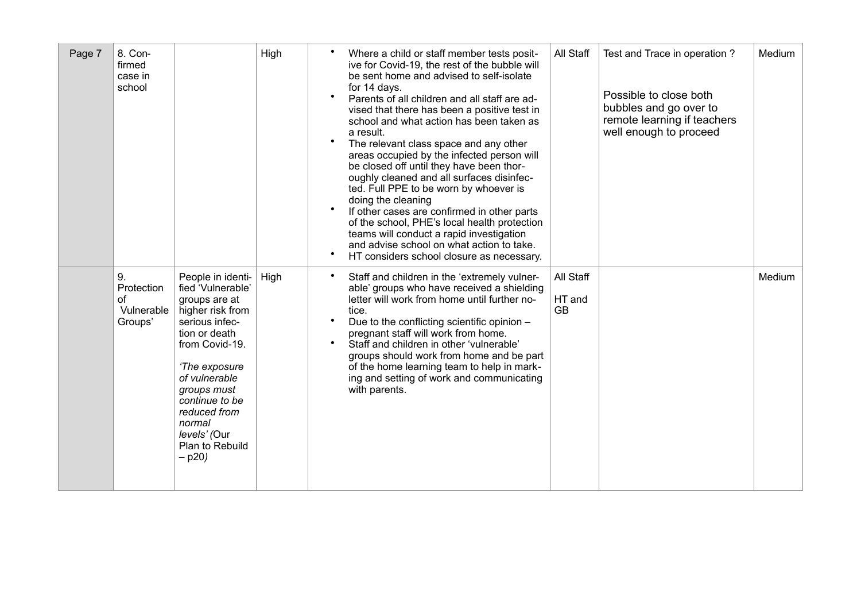| Page 7 | 8. Con-<br>firmed<br>case in<br>school          |                                                                                                                                                                                                                                                                              | High | $\bullet$<br>$\bullet$              | Where a child or staff member tests posit-<br>ive for Covid-19, the rest of the bubble will<br>be sent home and advised to self-isolate<br>for 14 days.<br>Parents of all children and all staff are ad-<br>vised that there has been a positive test in<br>school and what action has been taken as<br>a result.<br>The relevant class space and any other<br>areas occupied by the infected person will<br>be closed off until they have been thor-<br>oughly cleaned and all surfaces disinfec-<br>ted. Full PPE to be worn by whoever is<br>doing the cleaning<br>If other cases are confirmed in other parts<br>of the school, PHE's local health protection<br>teams will conduct a rapid investigation<br>and advise school on what action to take.<br>HT considers school closure as necessary. | All Staff                        | Test and Trace in operation?<br>Possible to close both<br>bubbles and go over to<br>remote learning if teachers<br>well enough to proceed | Medium |
|--------|-------------------------------------------------|------------------------------------------------------------------------------------------------------------------------------------------------------------------------------------------------------------------------------------------------------------------------------|------|-------------------------------------|---------------------------------------------------------------------------------------------------------------------------------------------------------------------------------------------------------------------------------------------------------------------------------------------------------------------------------------------------------------------------------------------------------------------------------------------------------------------------------------------------------------------------------------------------------------------------------------------------------------------------------------------------------------------------------------------------------------------------------------------------------------------------------------------------------|----------------------------------|-------------------------------------------------------------------------------------------------------------------------------------------|--------|
|        | 9.<br>Protection<br>0f<br>Vulnerable<br>Groups' | People in identi-<br>fied 'Vulnerable'<br>groups are at<br>higher risk from<br>serious infec-<br>tion or death<br>from Covid-19.<br>'The exposure<br>of vulnerable<br>groups must<br>continue to be<br>reduced from<br>normal<br>levels' (Our<br>Plan to Rebuild<br>$-$ p20) | High | $\bullet$<br>$\bullet$<br>$\bullet$ | Staff and children in the 'extremely vulner-<br>able' groups who have received a shielding<br>letter will work from home until further no-<br>tice.<br>Due to the conflicting scientific opinion -<br>pregnant staff will work from home.<br>Staff and children in other 'vulnerable'<br>groups should work from home and be part<br>of the home learning team to help in mark-<br>ing and setting of work and communicating<br>with parents.                                                                                                                                                                                                                                                                                                                                                           | All Staff<br>HT and<br><b>GB</b> |                                                                                                                                           | Medium |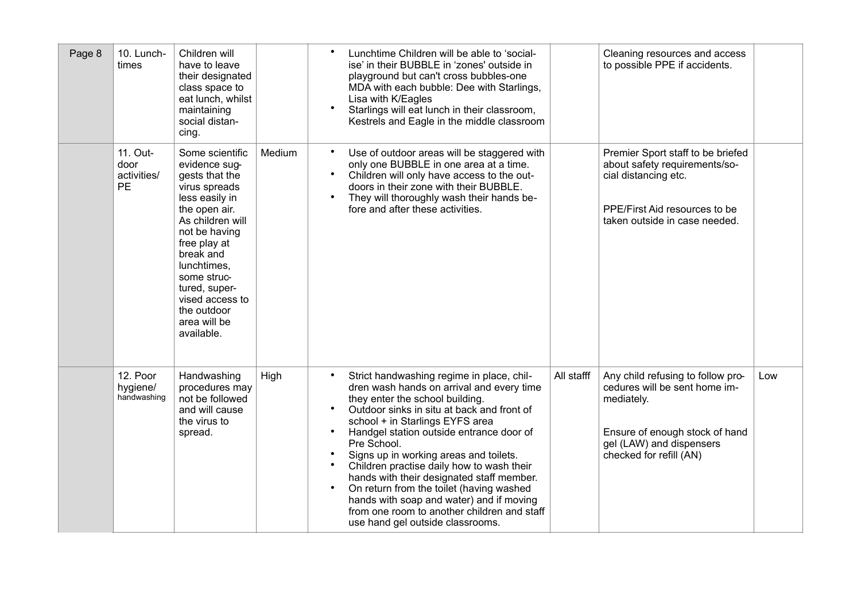| Page 8 | 10. Lunch-<br>times                          | Children will<br>have to leave<br>their designated<br>class space to<br>eat lunch, whilst<br>maintaining<br>social distan-<br>cing.                                                                                                                                                     |        | Lunchtime Children will be able to 'social-<br>ise' in their BUBBLE in 'zones' outside in<br>playground but can't cross bubbles-one<br>MDA with each bubble: Dee with Starlings,<br>Lisa with K/Eagles<br>$\bullet$<br>Starlings will eat lunch in their classroom,<br>Kestrels and Eagle in the middle classroom                                                                                                                                                                                                                                                                                                                                                  |            | Cleaning resources and access<br>to possible PPE if accidents.                                                                                                            |     |
|--------|----------------------------------------------|-----------------------------------------------------------------------------------------------------------------------------------------------------------------------------------------------------------------------------------------------------------------------------------------|--------|--------------------------------------------------------------------------------------------------------------------------------------------------------------------------------------------------------------------------------------------------------------------------------------------------------------------------------------------------------------------------------------------------------------------------------------------------------------------------------------------------------------------------------------------------------------------------------------------------------------------------------------------------------------------|------------|---------------------------------------------------------------------------------------------------------------------------------------------------------------------------|-----|
|        | 11. Out-<br>door<br>activities/<br><b>PE</b> | Some scientific<br>evidence sug-<br>gests that the<br>virus spreads<br>less easily in<br>the open air.<br>As children will<br>not be having<br>free play at<br>break and<br>lunchtimes,<br>some struc-<br>tured, super-<br>vised access to<br>the outdoor<br>area will be<br>available. | Medium | $\bullet$<br>Use of outdoor areas will be staggered with<br>only one BUBBLE in one area at a time.<br>Children will only have access to the out-<br>$\bullet$<br>doors in their zone with their BUBBLE.<br>$\bullet$<br>They will thoroughly wash their hands be-<br>fore and after these activities.                                                                                                                                                                                                                                                                                                                                                              |            | Premier Sport staff to be briefed<br>about safety requirements/so-<br>cial distancing etc.<br>PPE/First Aid resources to be<br>taken outside in case needed.              |     |
|        | 12. Poor<br>hygiene/<br>handwashing          | Handwashing<br>procedures may<br>not be followed<br>and will cause<br>the virus to<br>spread.                                                                                                                                                                                           | High   | Strict handwashing regime in place, chil-<br>$\bullet$<br>dren wash hands on arrival and every time<br>they enter the school building.<br>Outdoor sinks in situ at back and front of<br>$\bullet$<br>school + in Starlings EYFS area<br>$\bullet$<br>Handgel station outside entrance door of<br>Pre School.<br>Signs up in working areas and toilets.<br>$\bullet$<br>Children practise daily how to wash their<br>$\bullet$<br>hands with their designated staff member.<br>$\bullet$<br>On return from the toilet (having washed<br>hands with soap and water) and if moving<br>from one room to another children and staff<br>use hand gel outside classrooms. | All stafff | Any child refusing to follow pro-<br>cedures will be sent home im-<br>mediately.<br>Ensure of enough stock of hand<br>gel (LAW) and dispensers<br>checked for refill (AN) | Low |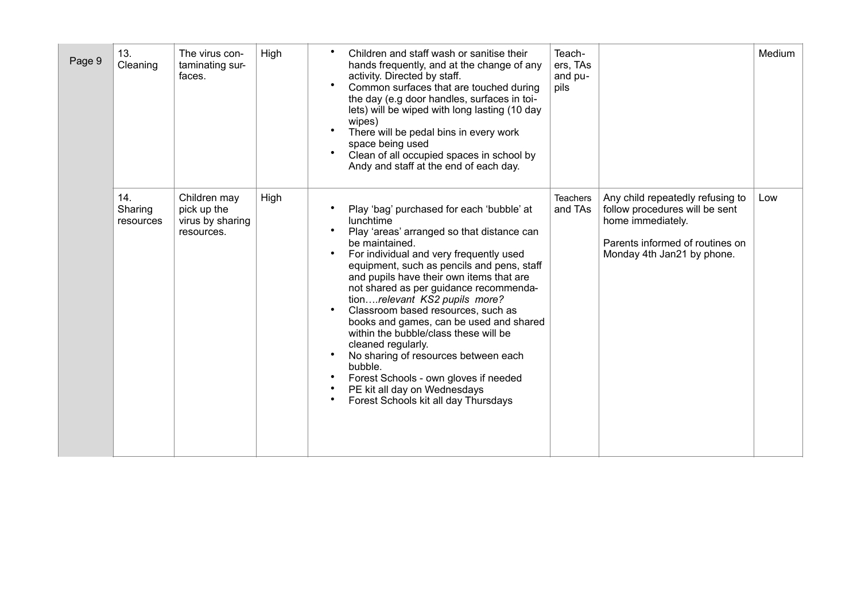| Page 9 | 13.<br>Cleaning             | The virus con-<br>taminating sur-<br>faces.                   | High | Children and staff wash or sanitise their<br>hands frequently, and at the change of any<br>activity. Directed by staff.<br>Common surfaces that are touched during<br>the day (e.g door handles, surfaces in toi-<br>lets) will be wiped with long lasting (10 day<br>wipes)<br>There will be pedal bins in every work<br>space being used<br>Clean of all occupied spaces in school by<br>Andy and staff at the end of each day.                                                                                                                                                                                                                          | Teach-<br>ers, TAs<br>and pu-<br>pils |                                                                                                                                                          | Medium |
|--------|-----------------------------|---------------------------------------------------------------|------|------------------------------------------------------------------------------------------------------------------------------------------------------------------------------------------------------------------------------------------------------------------------------------------------------------------------------------------------------------------------------------------------------------------------------------------------------------------------------------------------------------------------------------------------------------------------------------------------------------------------------------------------------------|---------------------------------------|----------------------------------------------------------------------------------------------------------------------------------------------------------|--------|
|        | 14.<br>Sharing<br>resources | Children may<br>pick up the<br>virus by sharing<br>resources. | High | Play 'bag' purchased for each 'bubble' at<br>lunchtime<br>Play 'areas' arranged so that distance can<br>be maintained.<br>For individual and very frequently used<br>equipment, such as pencils and pens, staff<br>and pupils have their own items that are<br>not shared as per guidance recommenda-<br>tionrelevant KS2 pupils more?<br>Classroom based resources, such as<br>books and games, can be used and shared<br>within the bubble/class these will be<br>cleaned regularly.<br>No sharing of resources between each<br>bubble.<br>Forest Schools - own gloves if needed<br>PE kit all day on Wednesdays<br>Forest Schools kit all day Thursdays | <b>Teachers</b><br>and TAs            | Any child repeatedly refusing to<br>follow procedures will be sent<br>home immediately.<br>Parents informed of routines on<br>Monday 4th Jan21 by phone. | Low    |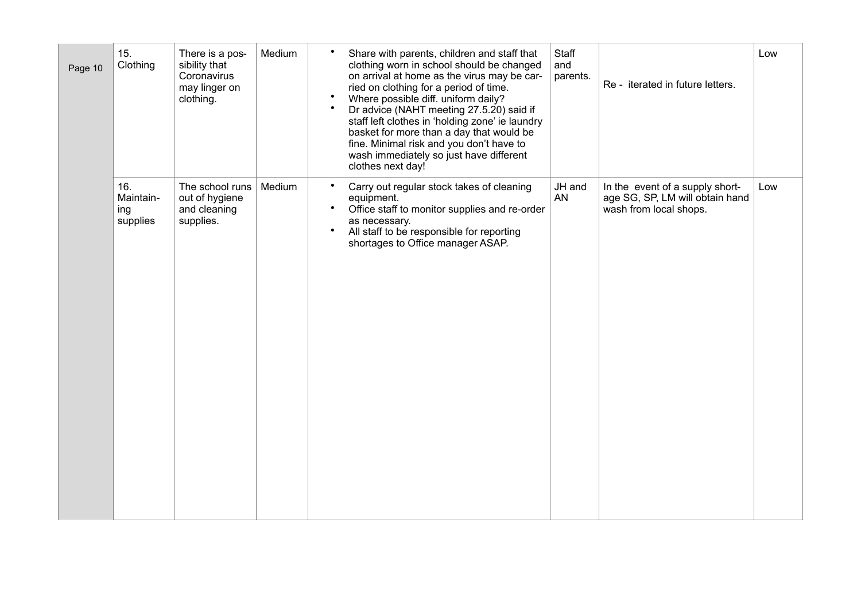|         | 15.                                 | There is a pos-                                                | Medium | $\bullet$                           | Share with parents, children and staff that                                                                                                                                                                                                                                                                                                                                                                                      | Staff           |                                                                                              | Low |
|---------|-------------------------------------|----------------------------------------------------------------|--------|-------------------------------------|----------------------------------------------------------------------------------------------------------------------------------------------------------------------------------------------------------------------------------------------------------------------------------------------------------------------------------------------------------------------------------------------------------------------------------|-----------------|----------------------------------------------------------------------------------------------|-----|
| Page 10 | Clothing                            | sibility that<br>Coronavirus<br>may linger on<br>clothing.     |        | $\bullet$<br>$\bullet$              | clothing worn in school should be changed<br>on arrival at home as the virus may be car-<br>ried on clothing for a period of time.<br>Where possible diff. uniform daily?<br>Dr advice (NAHT meeting 27.5.20) said if<br>staff left clothes in 'holding zone' ie laundry<br>basket for more than a day that would be<br>fine. Minimal risk and you don't have to<br>wash immediately so just have different<br>clothes next day! | and<br>parents. | Re - iterated in future letters.                                                             |     |
|         | 16.<br>Maintain-<br>ing<br>supplies | The school runs<br>out of hygiene<br>and cleaning<br>supplies. | Medium | $\bullet$<br>$\bullet$<br>$\bullet$ | Carry out regular stock takes of cleaning<br>equipment.<br>Office staff to monitor supplies and re-order<br>as necessary.<br>All staff to be responsible for reporting<br>shortages to Office manager ASAP.                                                                                                                                                                                                                      | JH and<br>AN    | In the event of a supply short-<br>age SG, SP, LM will obtain hand<br>wash from local shops. | Low |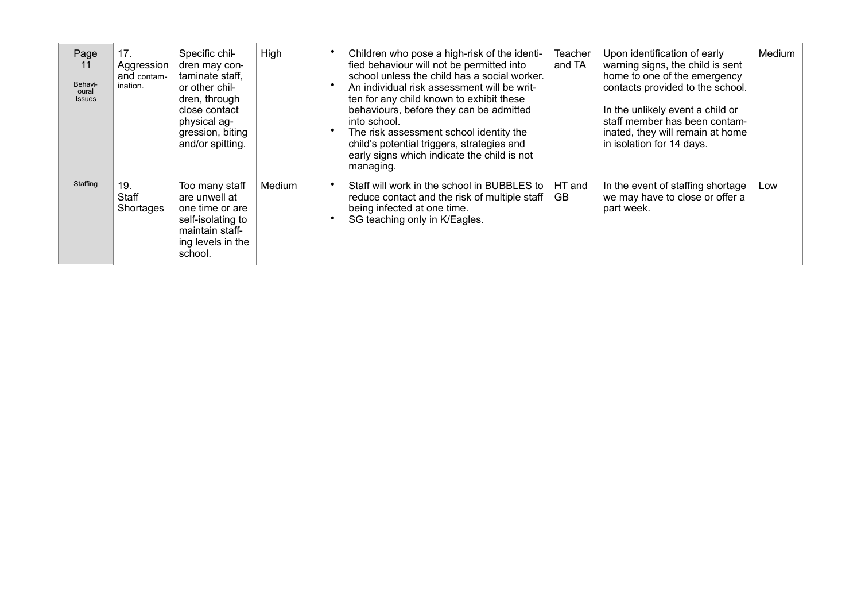| Page<br>11<br>Behavi-<br>oural<br><b>Issues</b> | 17.<br>Aggression<br>and contam-<br>ination. | Specific chil-<br>dren may con-<br>taminate staff,<br>or other chil-<br>dren, through<br>close contact<br>physical ag-<br>gression, biting<br>and/or spitting. | High   | Children who pose a high-risk of the identi-<br>fied behaviour will not be permitted into<br>school unless the child has a social worker.<br>An individual risk assessment will be writ-<br>ten for any child known to exhibit these<br>behaviours, before they can be admitted<br>into school.<br>The risk assessment school identity the<br>child's potential triggers, strategies and<br>early signs which indicate the child is not<br>managing. | Teacher<br>and TA | Upon identification of early<br>warning signs, the child is sent<br>home to one of the emergency<br>contacts provided to the school.<br>In the unlikely event a child or<br>staff member has been contam-<br>inated, they will remain at home<br>in isolation for 14 days. | Medium |
|-------------------------------------------------|----------------------------------------------|----------------------------------------------------------------------------------------------------------------------------------------------------------------|--------|------------------------------------------------------------------------------------------------------------------------------------------------------------------------------------------------------------------------------------------------------------------------------------------------------------------------------------------------------------------------------------------------------------------------------------------------------|-------------------|----------------------------------------------------------------------------------------------------------------------------------------------------------------------------------------------------------------------------------------------------------------------------|--------|
| Staffing                                        | 19.<br>Staff<br>Shortages                    | Too many staff<br>are unwell at<br>one time or are<br>self-isolating to<br>maintain staff-<br>ing levels in the<br>school.                                     | Medium | Staff will work in the school in BUBBLES to<br>reduce contact and the risk of multiple staff<br>being infected at one time.<br>SG teaching only in K/Eagles.                                                                                                                                                                                                                                                                                         | HT and<br>GB      | In the event of staffing shortage<br>we may have to close or offer a<br>part week.                                                                                                                                                                                         | Low    |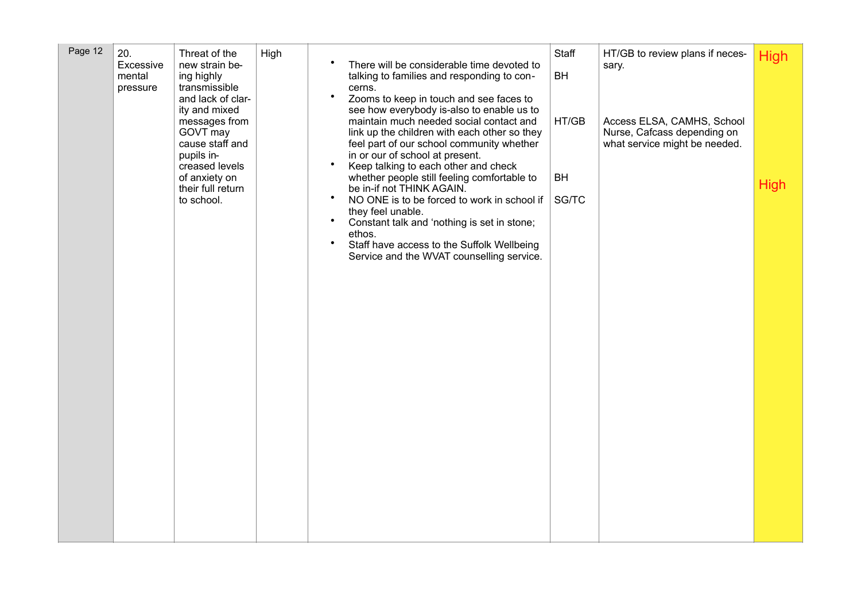|  | Page 12 | 20.<br>Excessive<br>mental<br>pressure | Threat of the<br>new strain be-<br>ing highly<br>transmissible<br>and lack of clar-<br>ity and mixed<br>messages from<br>GOVT may<br>cause staff and<br>pupils in-<br>creased levels<br>of anxiety on<br>their full return<br>to school. | High | There will be considerable time devoted to<br>talking to families and responding to con-<br>cerns.<br>$\bullet$<br>Zooms to keep in touch and see faces to<br>see how everybody is-also to enable us to<br>maintain much needed social contact and<br>link up the children with each other so they<br>feel part of our school community whether<br>in or our of school at present.<br>$\bullet$<br>Keep talking to each other and check<br>whether people still feeling comfortable to<br>be in-if not THINK AGAIN.<br>$\bullet$<br>NO ONE is to be forced to work in school if<br>they feel unable.<br>$\bullet$<br>Constant talk and 'nothing is set in stone;<br>ethos.<br>$\bullet$<br>Staff have access to the Suffolk Wellbeing<br>Service and the WVAT counselling service. | Staff<br><b>BH</b><br>HT/GB<br><b>BH</b><br>SG/TC | HT/GB to review plans if neces-<br>sary.<br>Access ELSA, CAMHS, School<br>Nurse, Cafcass depending on<br>what service might be needed. | <b>High</b><br><b>High</b> |
|--|---------|----------------------------------------|------------------------------------------------------------------------------------------------------------------------------------------------------------------------------------------------------------------------------------------|------|------------------------------------------------------------------------------------------------------------------------------------------------------------------------------------------------------------------------------------------------------------------------------------------------------------------------------------------------------------------------------------------------------------------------------------------------------------------------------------------------------------------------------------------------------------------------------------------------------------------------------------------------------------------------------------------------------------------------------------------------------------------------------------|---------------------------------------------------|----------------------------------------------------------------------------------------------------------------------------------------|----------------------------|
|--|---------|----------------------------------------|------------------------------------------------------------------------------------------------------------------------------------------------------------------------------------------------------------------------------------------|------|------------------------------------------------------------------------------------------------------------------------------------------------------------------------------------------------------------------------------------------------------------------------------------------------------------------------------------------------------------------------------------------------------------------------------------------------------------------------------------------------------------------------------------------------------------------------------------------------------------------------------------------------------------------------------------------------------------------------------------------------------------------------------------|---------------------------------------------------|----------------------------------------------------------------------------------------------------------------------------------------|----------------------------|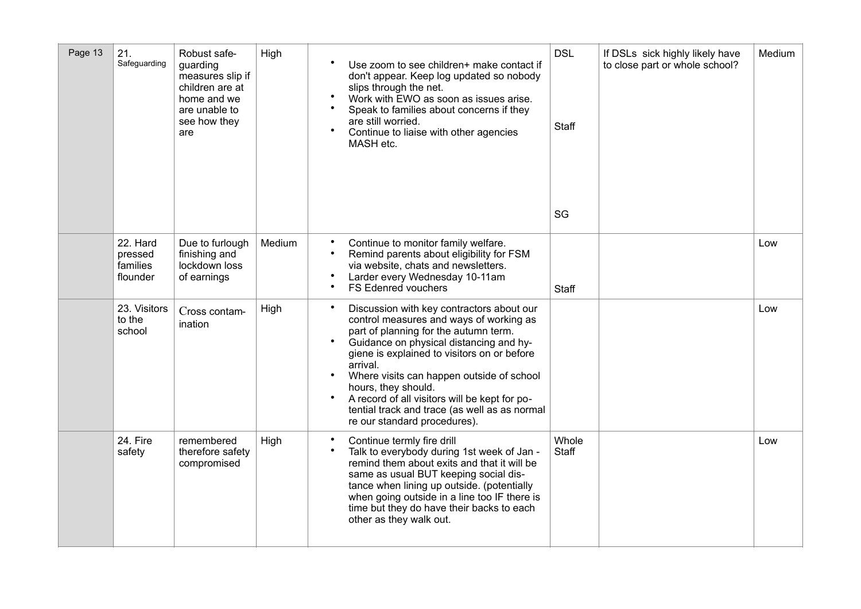| Page 13 | 21.<br>Safeguarding                         | Robust safe-<br>guarding<br>measures slip if<br>children are at<br>home and we<br>are unable to<br>see how they<br>are | High   | Use zoom to see children+ make contact if<br>don't appear. Keep log updated so nobody<br>slips through the net.<br>$\bullet$<br>Work with EWO as soon as issues arise.<br>$\bullet$<br>Speak to families about concerns if they<br>are still worried.<br>$\bullet$<br>Continue to liaise with other agencies<br>MASH etc.                                                                                                                                                                     | <b>DSL</b><br><b>Staff</b><br>SG | If DSLs sick highly likely have<br>to close part or whole school? | Medium |
|---------|---------------------------------------------|------------------------------------------------------------------------------------------------------------------------|--------|-----------------------------------------------------------------------------------------------------------------------------------------------------------------------------------------------------------------------------------------------------------------------------------------------------------------------------------------------------------------------------------------------------------------------------------------------------------------------------------------------|----------------------------------|-------------------------------------------------------------------|--------|
|         | 22. Hard<br>pressed<br>families<br>flounder | Due to furlough<br>finishing and<br>lockdown loss<br>of earnings                                                       | Medium | Continue to monitor family welfare.<br>$\bullet$<br>Remind parents about eligibility for FSM<br>$\bullet$<br>via website, chats and newsletters.<br>Larder every Wednesday 10-11am<br>FS Edenred vouchers<br>$\bullet$                                                                                                                                                                                                                                                                        | Staff                            |                                                                   | Low    |
|         | 23. Visitors<br>to the<br>school            | Cross contam-<br>ination                                                                                               | High   | $\bullet$<br>Discussion with key contractors about our<br>control measures and ways of working as<br>part of planning for the autumn term.<br>$\bullet$<br>Guidance on physical distancing and hy-<br>giene is explained to visitors on or before<br>arrival.<br>Where visits can happen outside of school<br>$\bullet$<br>hours, they should.<br>A record of all visitors will be kept for po-<br>$\bullet$<br>tential track and trace (as well as as normal<br>re our standard procedures). |                                  |                                                                   | Low    |
|         | 24. Fire<br>safety                          | remembered<br>therefore safety<br>compromised                                                                          | High   | Continue termly fire drill<br>$\bullet$<br>Talk to everybody during 1st week of Jan -<br>$\bullet$<br>remind them about exits and that it will be<br>same as usual BUT keeping social dis-<br>tance when lining up outside. (potentially<br>when going outside in a line too IF there is<br>time but they do have their backs to each<br>other as they walk out.                                                                                                                              | Whole<br><b>Staff</b>            |                                                                   | Low    |